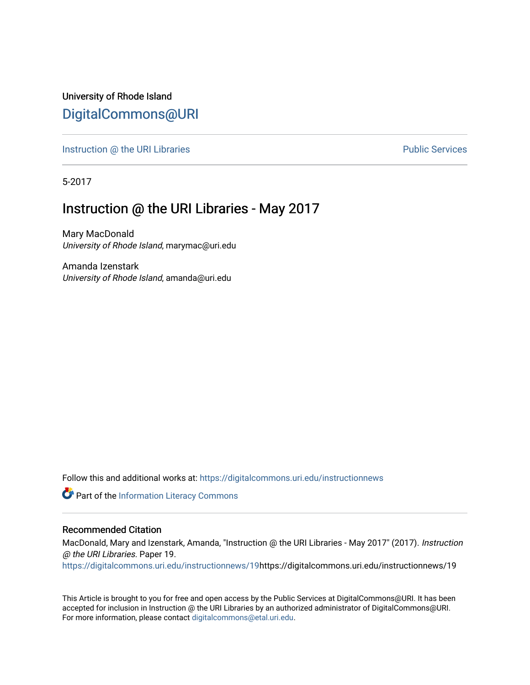University of Rhode Island [DigitalCommons@URI](https://digitalcommons.uri.edu/) 

[Instruction @ the URI Libraries](https://digitalcommons.uri.edu/instructionnews) **Public Services** Public Services

5-2017

## Instruction @ the URI Libraries - May 2017

Mary MacDonald University of Rhode Island, marymac@uri.edu

Amanda Izenstark University of Rhode Island, amanda@uri.edu

Follow this and additional works at: [https://digitalcommons.uri.edu/instructionnews](https://digitalcommons.uri.edu/instructionnews?utm_source=digitalcommons.uri.edu%2Finstructionnews%2F19&utm_medium=PDF&utm_campaign=PDFCoverPages)

Part of the [Information Literacy Commons](http://network.bepress.com/hgg/discipline/1243?utm_source=digitalcommons.uri.edu%2Finstructionnews%2F19&utm_medium=PDF&utm_campaign=PDFCoverPages)

#### Recommended Citation

MacDonald, Mary and Izenstark, Amanda, "Instruction @ the URI Libraries - May 2017" (2017). Instruction @ the URI Libraries. Paper 19.

[https://digitalcommons.uri.edu/instructionnews/19h](https://digitalcommons.uri.edu/instructionnews/19?utm_source=digitalcommons.uri.edu%2Finstructionnews%2F19&utm_medium=PDF&utm_campaign=PDFCoverPages)ttps://digitalcommons.uri.edu/instructionnews/19

This Article is brought to you for free and open access by the Public Services at DigitalCommons@URI. It has been accepted for inclusion in Instruction @ the URI Libraries by an authorized administrator of DigitalCommons@URI. For more information, please contact [digitalcommons@etal.uri.edu](mailto:digitalcommons@etal.uri.edu).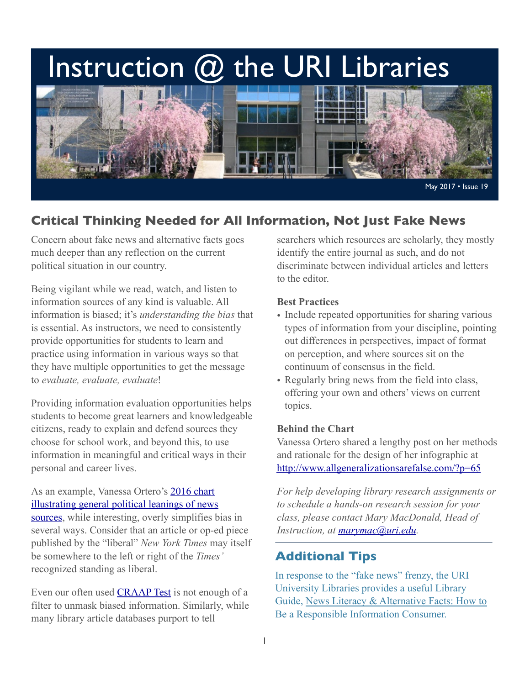# Instruction  $@$  the URI Libraries



# **Critical Thinking Needed for All Information, Not Just Fake News**

Concern about fake news and alternative facts goes much deeper than any reflection on the current political situation in our country.

Being vigilant while we read, watch, and listen to information sources of any kind is valuable. All information is biased; it's *understanding the bias* that is essential. As instructors, we need to consistently provide opportunities for students to learn and practice using information in various ways so that they have multiple opportunities to get the message to *evaluate, evaluate, evaluate*!

Providing information evaluation opportunities helps students to become great learners and knowledgeable citizens, ready to explain and defend sources they choose for school work, and beyond this, to use information in meaningful and critical ways in their personal and career lives.

As an example, Vanessa Ortero's [2016 chart](https://twitter.com/vlotero/status/808696317174288387?lang=en)  [illustrating general political leanings of news](https://twitter.com/vlotero/status/808696317174288387?lang=en)  [sources,](https://twitter.com/vlotero/status/808696317174288387?lang=en) while interesting, overly simplifies bias in several ways. Consider that an article or op-ed piece published by the "liberal" *New York Times* may itself be somewhere to the left or right of the *Times'* recognized standing as liberal.

Even our often used **CRAAP** Test is not enough of a filter to unmask biased information. Similarly, while many library article databases purport to tell

searchers which resources are scholarly, they mostly identify the entire journal as such, and do not discriminate between individual articles and letters to the editor.

#### **Best Practices**

- Include repeated opportunities for sharing various types of information from your discipline, pointing out differences in perspectives, impact of format on perception, and where sources sit on the continuum of consensus in the field.
- Regularly bring news from the field into class, offering your own and others' views on current topics.

#### **Behind the Chart**

Vanessa Ortero shared a lengthy post on her methods and rationale for the design of her infographic at <http://www.allgeneralizationsarefalse.com/?p=65>

*For help developing library research assignments or to schedule a hands-on research session for your class, please contact Mary MacDonald, Head of Instruction, at [marymac@uri.edu](mailto:marymac@uri.edu).* 

## **Additional Tips**

In response to the "fake news" frenzy, the URI University Libraries provides a useful Library Guide, [News Literacy & Alternative Facts: How to](http://uri.libguides.com/newsliteracy)  [Be a Responsible Information Consumer.](http://uri.libguides.com/newsliteracy)